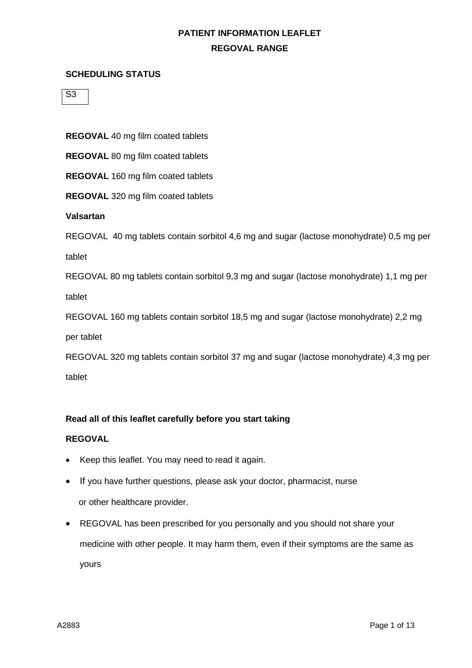#### **SCHEDULING STATUS**

 $\overline{S3}$ 

**REGOVAL** 40 mg film coated tablets

**REGOVAL** 80 mg film coated tablets

**REGOVAL** 160 mg film coated tablets

**REGOVAL** 320 mg film coated tablets

**Valsartan**

REGOVAL 40 mg tablets contain sorbitol 4,6 mg and sugar (lactose monohydrate) 0,5 mg per tablet

REGOVAL 80 mg tablets contain sorbitol 9,3 mg and sugar (lactose monohydrate) 1,1 mg per tablet

REGOVAL 160 mg tablets contain sorbitol 18,5 mg and sugar (lactose monohydrate) 2,2 mg

per tablet

REGOVAL 320 mg tablets contain sorbitol 37 mg and sugar (lactose monohydrate) 4,3 mg per tablet

### **Read all of this leaflet carefully before you start taking**

### **REGOVAL**

- Keep this leaflet. You may need to read it again.
- If you have further questions, please ask your doctor, pharmacist, nurse or other healthcare provider.
- REGOVAL has been prescribed for you personally and you should not share your medicine with other people. It may harm them, even if their symptoms are the same as yours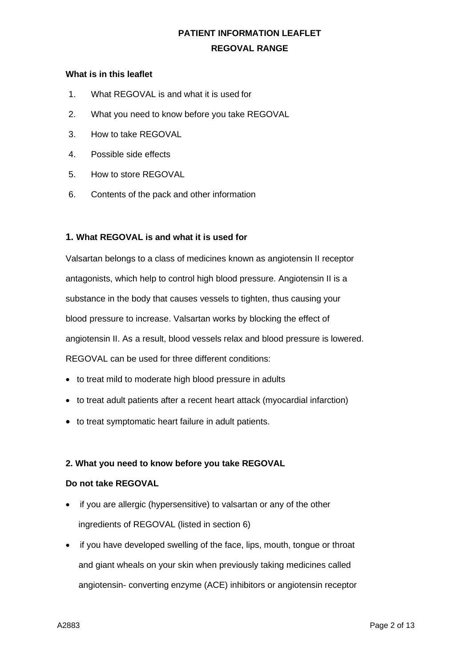#### **What is in this leaflet**

- 1. What REGOVAL is and what it is used for
- 2. What you need to know before you take REGOVAL
- 3. How to take REGOVAL
- 4. Possible side effects
- 5. How to store REGOVAL
- 6. Contents of the pack and other information

### **1. What REGOVAL is and what it is used for**

Valsartan belongs to a class of medicines known as angiotensin II receptor antagonists, which help to control high blood pressure. Angiotensin II is a substance in the body that causes vessels to tighten, thus causing your blood pressure to increase. Valsartan works by blocking the effect of angiotensin II. As a result, blood vessels relax and blood pressure is lowered. REGOVAL can be used for three different conditions:

- to treat mild to moderate high blood pressure in adults
- to treat adult patients after a recent heart attack (myocardial infarction)
- to treat symptomatic heart failure in adult patients.

### **2. What you need to know before you take REGOVAL**

### **Do not take REGOVAL**

- if you are allergic (hypersensitive) to valsartan or any of the other ingredients of REGOVAL (listed in section 6)
- if you have developed swelling of the face, lips, mouth, tongue or throat and giant wheals on your skin when previously taking medicines called angiotensin- converting enzyme (ACE) inhibitors or angiotensin receptor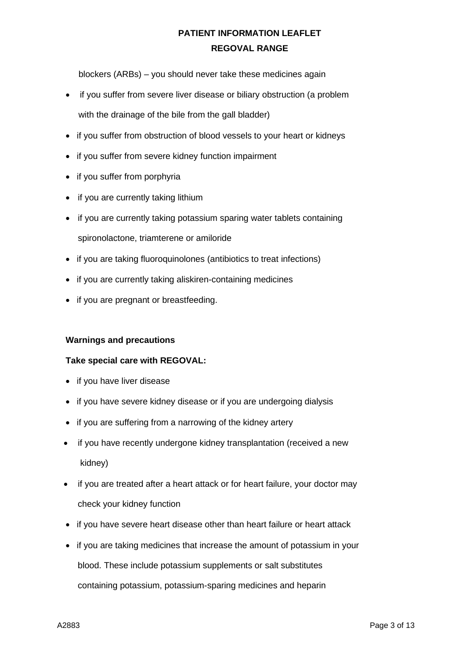blockers (ARBs) – you should never take these medicines again

- if you suffer from severe liver disease or biliary obstruction (a problem with the drainage of the bile from the gall bladder)
- if you suffer from obstruction of blood vessels to your heart or kidneys
- if you suffer from severe kidney function impairment
- if you suffer from porphyria
- if you are currently taking lithium
- if you are currently taking potassium sparing water tablets containing spironolactone, triamterene or amiloride
- if you are taking fluoroquinolones (antibiotics to treat infections)
- if you are currently taking aliskiren-containing medicines
- if you are pregnant or breastfeeding.

### **Warnings and precautions**

### **Take special care with REGOVAL:**

- if you have liver disease
- if you have severe kidney disease or if you are undergoing dialysis
- if you are suffering from a narrowing of the kidney artery
- if you have recently undergone kidney transplantation (received a new kidney)
- if you are treated after a heart attack or for heart failure, your doctor may check your kidney function
- if you have severe heart disease other than heart failure or heart attack
- if you are taking medicines that increase the amount of potassium in your blood. These include potassium supplements or salt substitutes containing potassium, potassium-sparing medicines and heparin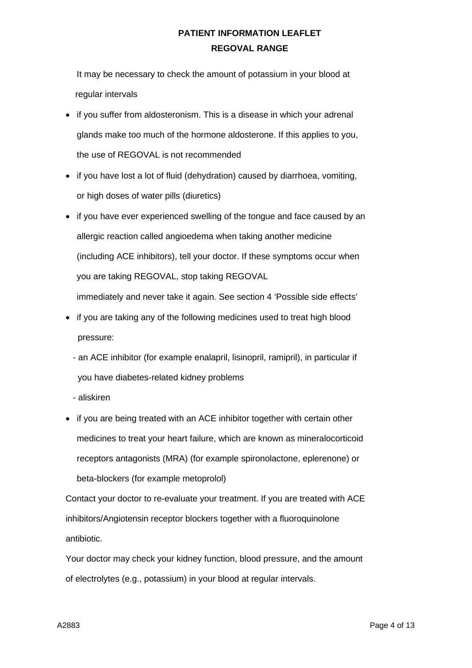It may be necessary to check the amount of potassium in your blood at regular intervals

- if you suffer from aldosteronism. This is a disease in which your adrenal glands make too much of the hormone aldosterone. If this applies to you, the use of REGOVAL is not recommended
- if you have lost a lot of fluid (dehydration) caused by diarrhoea, vomiting, or high doses of water pills (diuretics)
- if you have ever experienced swelling of the tongue and face caused by an allergic reaction called angioedema when taking another medicine (including ACE inhibitors), tell your doctor. If these symptoms occur when you are taking REGOVAL, stop taking REGOVAL immediately and never take it again. See section 4 'Possible side effects'
- if you are taking any of the following medicines used to treat high blood pressure:
	- an ACE inhibitor (for example enalapril, lisinopril, ramipril), in particular if you have diabetes-related kidney problems
	- aliskiren
- if you are being treated with an ACE inhibitor together with certain other medicines to treat your heart failure, which are known as mineralocorticoid receptors antagonists (MRA) (for example spironolactone, eplerenone) or beta-blockers (for example metoprolol)

Contact your doctor to re-evaluate your treatment. If you are treated with ACE inhibitors/Angiotensin receptor blockers together with a fluoroquinolone antibiotic.

Your doctor may check your kidney function, blood pressure, and the amount of electrolytes (e.g., potassium) in your blood at regular intervals.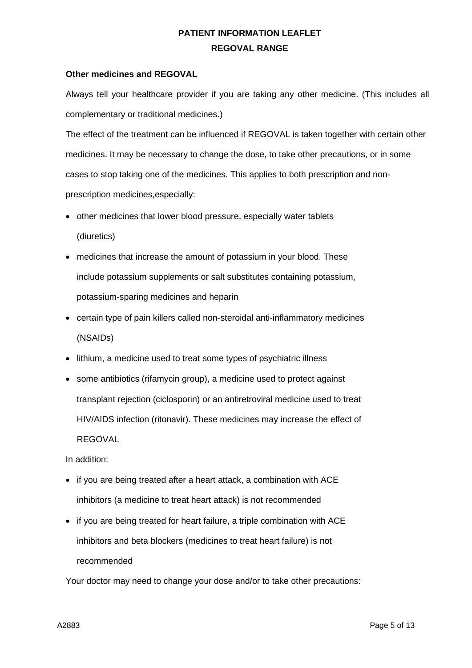#### **Other medicines and REGOVAL**

Always tell your healthcare provider if you are taking any other medicine. (This includes all complementary or traditional medicines.)

The effect of the treatment can be influenced if REGOVAL is taken together with certain other medicines. It may be necessary to change the dose, to take other precautions, or in some cases to stop taking one of the medicines. This applies to both prescription and nonprescription medicines,especially:

- other medicines that lower blood pressure, especially water tablets (diuretics)
- medicines that increase the amount of potassium in your blood. These include potassium supplements or salt substitutes containing potassium, potassium-sparing medicines and heparin
- certain type of pain killers called non-steroidal anti-inflammatory medicines (NSAIDs)
- lithium, a medicine used to treat some types of psychiatric illness
- some antibiotics (rifamycin group), a medicine used to protect against transplant rejection (ciclosporin) or an antiretroviral medicine used to treat HIV/AIDS infection (ritonavir). These medicines may increase the effect of REGOVAL

In addition:

- if you are being treated after a heart attack, a combination with ACE inhibitors (a medicine to treat heart attack) is not recommended
- if you are being treated for heart failure, a triple combination with ACE inhibitors and beta blockers (medicines to treat heart failure) is not recommended

Your doctor may need to change your dose and/or to take other precautions: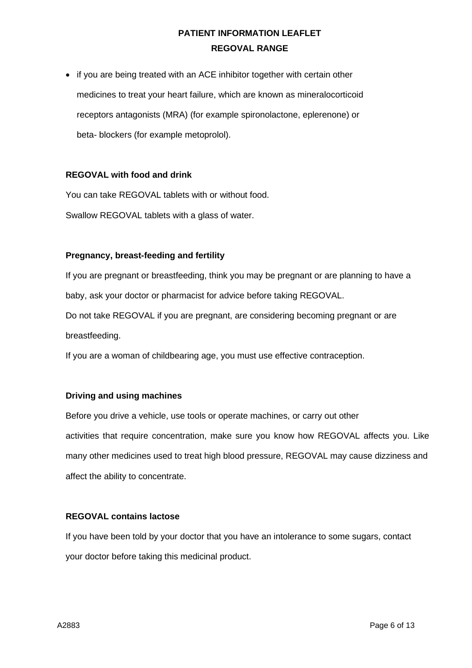• if you are being treated with an ACE inhibitor together with certain other medicines to treat your heart failure, which are known as mineralocorticoid receptors antagonists (MRA) (for example spironolactone, eplerenone) or beta- blockers (for example metoprolol).

### **REGOVAL with food and drink**

You can take REGOVAL tablets with or without food.

Swallow REGOVAL tablets with a glass of water.

#### **Pregnancy, breast-feeding and fertility**

If you are pregnant or breastfeeding, think you may be pregnant or are planning to have a baby, ask your doctor or pharmacist for advice before taking REGOVAL.

Do not take REGOVAL if you are pregnant, are considering becoming pregnant or are breastfeeding.

If you are a woman of childbearing age, you must use effective contraception.

### **Driving and using machines**

Before you drive a vehicle, use tools or operate machines, or carry out other activities that require concentration, make sure you know how REGOVAL affects you. Like many other medicines used to treat high blood pressure, REGOVAL may cause dizziness and affect the ability to concentrate.

### **REGOVAL contains lactose**

If you have been told by your doctor that you have an intolerance to some sugars, contact your doctor before taking this medicinal product.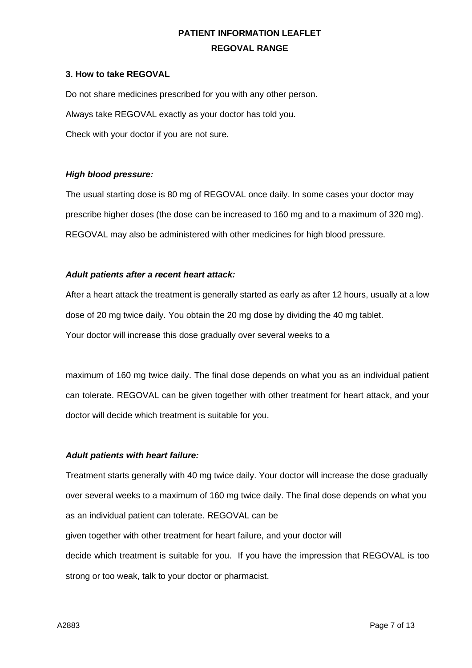#### **3. How to take REGOVAL**

Do not share medicines prescribed for you with any other person. Always take REGOVAL exactly as your doctor has told you. Check with your doctor if you are not sure.

### *High blood pressure:*

The usual starting dose is 80 mg of REGOVAL once daily. In some cases your doctor may prescribe higher doses (the dose can be increased to 160 mg and to a maximum of 320 mg). REGOVAL may also be administered with other medicines for high blood pressure.

#### *Adult patients after a recent heart attack:*

After a heart attack the treatment is generally started as early as after 12 hours, usually at a low dose of 20 mg twice daily. You obtain the 20 mg dose by dividing the 40 mg tablet. Your doctor will increase this dose gradually over several weeks to a

maximum of 160 mg twice daily. The final dose depends on what you as an individual patient can tolerate. REGOVAL can be given together with other treatment for heart attack, and your doctor will decide which treatment is suitable for you.

### *Adult patients with heart failure:*

Treatment starts generally with 40 mg twice daily. Your doctor will increase the dose gradually over several weeks to a maximum of 160 mg twice daily. The final dose depends on what you as an individual patient can tolerate. REGOVAL can be given together with other treatment for heart failure, and your doctor will decide which treatment is suitable for you. If you have the impression that REGOVAL is too strong or too weak, talk to your doctor or pharmacist.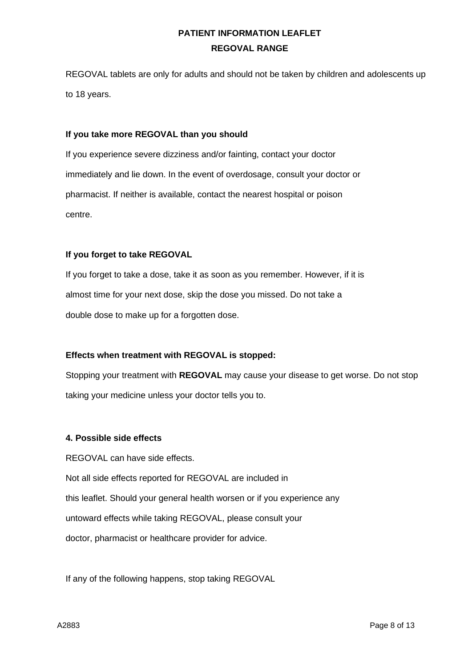REGOVAL tablets are only for adults and should not be taken by children and adolescents up to 18 years.

#### **If you take more REGOVAL than you should**

If you experience severe dizziness and/or fainting, contact your doctor immediately and lie down. In the event of overdosage, consult your doctor or pharmacist. If neither is available, contact the nearest hospital or poison centre.

### **If you forget to take REGOVAL**

If you forget to take a dose, take it as soon as you remember. However, if it is almost time for your next dose, skip the dose you missed. Do not take a double dose to make up for a forgotten dose.

### **Effects when treatment with REGOVAL is stopped:**

Stopping your treatment with **REGOVAL** may cause your disease to get worse. Do not stop taking your medicine unless your doctor tells you to.

#### **4. Possible side effects**

REGOVAL can have side effects. Not all side effects reported for REGOVAL are included in this leaflet. Should your general health worsen or if you experience any untoward effects while taking REGOVAL, please consult your doctor, pharmacist or healthcare provider for advice.

If any of the following happens, stop taking REGOVAL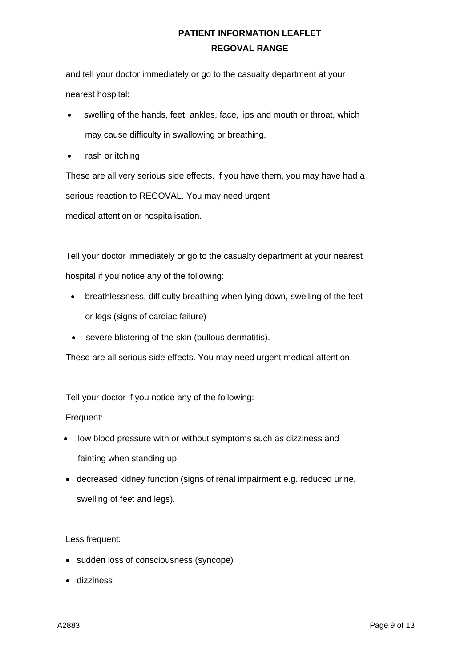and tell your doctor immediately or go to the casualty department at your nearest hospital:

- swelling of the hands, feet, ankles, face, lips and mouth or throat, which may cause difficulty in swallowing or breathing,
- rash or itching.

These are all very serious side effects. If you have them, you may have had a serious reaction to REGOVAL. You may need urgent medical attention or hospitalisation.

Tell your doctor immediately or go to the casualty department at your nearest hospital if you notice any of the following:

- breathlessness, difficulty breathing when lying down, swelling of the feet or legs (signs of cardiac failure)
- severe blistering of the skin (bullous dermatitis).

These are all serious side effects. You may need urgent medical attention.

Tell your doctor if you notice any of the following:

Frequent:

- low blood pressure with or without symptoms such as dizziness and fainting when standing up
- decreased kidney function (signs of renal impairment e.g.,reduced urine, swelling of feet and legs).

Less frequent:

- sudden loss of consciousness (syncope)
- dizziness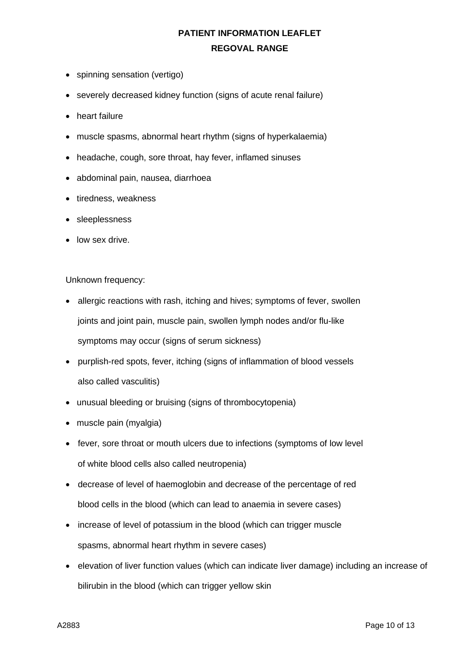- spinning sensation (vertigo)
- severely decreased kidney function (signs of acute renal failure)
- heart failure
- muscle spasms, abnormal heart rhythm (signs of hyperkalaemia)
- headache, cough, sore throat, hay fever, inflamed sinuses
- abdominal pain, nausea, diarrhoea
- tiredness, weakness
- sleeplessness
- low sex drive.

### Unknown frequency:

- allergic reactions with rash, itching and hives; symptoms of fever, swollen joints and joint pain, muscle pain, swollen lymph nodes and/or flu-like symptoms may occur (signs of serum sickness)
- purplish-red spots, fever, itching (signs of inflammation of blood vessels also called vasculitis)
- unusual bleeding or bruising (signs of thrombocytopenia)
- muscle pain (myalgia)
- fever, sore throat or mouth ulcers due to infections (symptoms of low level of white blood cells also called neutropenia)
- decrease of level of haemoglobin and decrease of the percentage of red blood cells in the blood (which can lead to anaemia in severe cases)
- increase of level of potassium in the blood (which can trigger muscle spasms, abnormal heart rhythm in severe cases)
- elevation of liver function values (which can indicate liver damage) including an increase of bilirubin in the blood (which can trigger yellow skin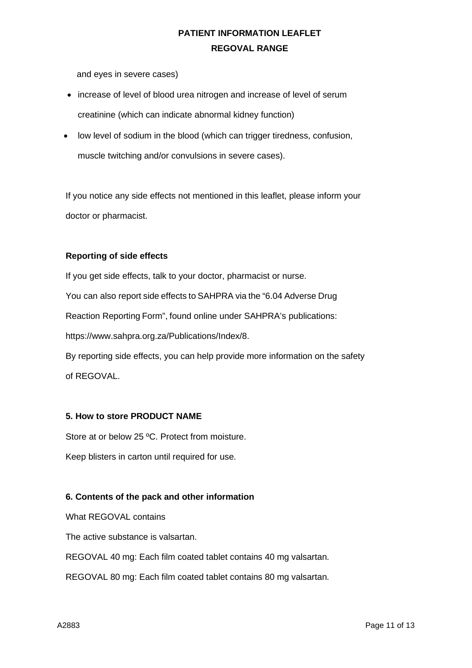and eyes in severe cases)

- increase of level of blood urea nitrogen and increase of level of serum creatinine (which can indicate abnormal kidney function)
- low level of sodium in the blood (which can trigger tiredness, confusion, muscle twitching and/or convulsions in severe cases).

If you notice any side effects not mentioned in this leaflet, please inform your doctor or pharmacist.

### **Reporting of side effects**

If you get side effects, talk to your doctor, pharmacist or nurse. You can also report side effects to SAHPRA via the "6.04 Adverse Drug Reaction Reporting Form", found online under SAHPRA's publications: [https://www.sahpra.org.za/Publications/Index/8.](https://www.sahpra.org.za/Publications/Index/8)

By reporting side effects, you can help provide more information on the safety of REGOVAL.

### **5. How to store PRODUCT NAME**

Store at or below 25 ºC. Protect from moisture.

Keep blisters in carton until required for use.

### **6. Contents of the pack and other information**

What REGOVAL contains

The active substance is valsartan.

REGOVAL 40 mg: Each film coated tablet contains 40 mg valsartan.

REGOVAL 80 mg: Each film coated tablet contains 80 mg valsartan.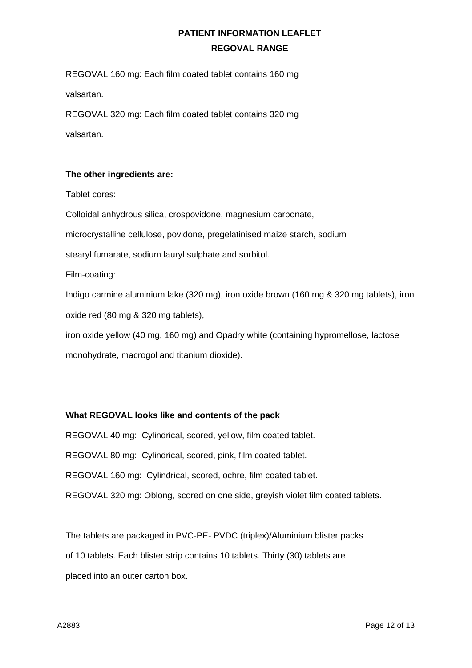REGOVAL 160 mg: Each film coated tablet contains 160 mg valsartan.

REGOVAL 320 mg: Each film coated tablet contains 320 mg valsartan.

### **The other ingredients are:**

Tablet cores:

Colloidal anhydrous silica, crospovidone, magnesium carbonate, microcrystalline cellulose, povidone, pregelatinised maize starch, sodium stearyl fumarate, sodium lauryl sulphate and sorbitol. Film-coating: Indigo carmine aluminium lake (320 mg), iron oxide brown (160 mg & 320 mg tablets), iron oxide red (80 mg & 320 mg tablets), iron oxide yellow (40 mg, 160 mg) and Opadry white (containing hypromellose, lactose

monohydrate, macrogol and titanium dioxide).

### **What REGOVAL looks like and contents of the pack**

REGOVAL 40 mg: Cylindrical, scored, yellow, film coated tablet. REGOVAL 80 mg: Cylindrical, scored, pink, film coated tablet. REGOVAL 160 mg: Cylindrical, scored, ochre, film coated tablet. REGOVAL 320 mg: Oblong, scored on one side, greyish violet film coated tablets.

The tablets are packaged in PVC-PE- PVDC (triplex)/Aluminium blister packs of 10 tablets. Each blister strip contains 10 tablets. Thirty (30) tablets are placed into an outer carton box.